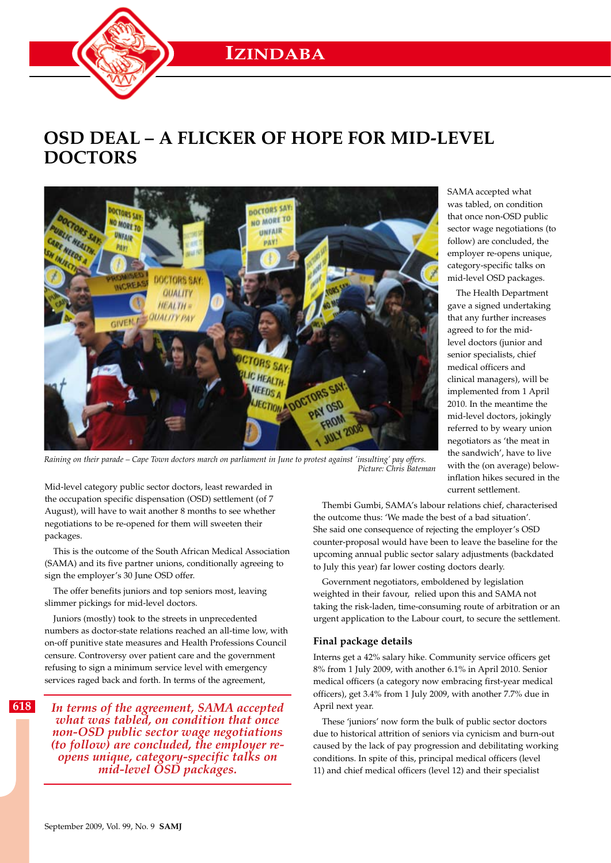# **OSD DEAL – A FLICKER OF HOPE FOR MID-LEVEL DOCTORS**



*Raining on their parade – Cape Town doctors march on parliament in June to protest against 'insulting' pay offers. Picture: Chris Bateman*

that once non-OSD public sector wage negotiations (to follow) are concluded, the employer re-opens unique, category-specific talks on mid-level OSD packages.

SAMA accepted what was tabled, on condition

The Health Department gave a signed undertaking that any further increases agreed to for the midlevel doctors (junior and senior specialists, chief medical officers and clinical managers), will be implemented from 1 April 2010. In the meantime the mid-level doctors, jokingly referred to by weary union negotiators as 'the meat in the sandwich', have to live with the (on average) belowinflation hikes secured in the current settlement.

Mid-level category public sector doctors, least rewarded in the occupation specific dispensation (OSD) settlement (of 7 August), will have to wait another 8 months to see whether negotiations to be re-opened for them will sweeten their packages.

This is the outcome of the South African Medical Association (SAMA) and its five partner unions, conditionally agreeing to sign the employer's 30 June OSD offer.

The offer benefits juniors and top seniors most, leaving slimmer pickings for mid-level doctors.

Juniors (mostly) took to the streets in unprecedented numbers as doctor-state relations reached an all-time low, with on-off punitive state measures and Health Professions Council censure. Controversy over patient care and the government refusing to sign a minimum service level with emergency services raged back and forth. In terms of the agreement,

*In terms of the agreement, SAMA accepted what was tabled, on condition that once non-OSD public sector wage negotiations (to follow) are concluded, the employer reopens unique, category-specific talks on mid-level OSD packages.*

Thembi Gumbi, SAMA's labour relations chief, characterised the outcome thus: 'We made the best of a bad situation'. She said one consequence of rejecting the employer's OSD counter-proposal would have been to leave the baseline for the upcoming annual public sector salary adjustments (backdated to July this year) far lower costing doctors dearly.

Government negotiators, emboldened by legislation weighted in their favour, relied upon this and SAMA not taking the risk-laden, time-consuming route of arbitration or an urgent application to the Labour court, to secure the settlement.

# **Final package details**

Interns get a 42% salary hike. Community service officers get 8% from 1 July 2009, with another 6.1% in April 2010. Senior medical officers (a category now embracing first-year medical officers), get 3.4% from 1 July 2009, with another 7.7% due in April next year.

These 'juniors' now form the bulk of public sector doctors due to historical attrition of seniors via cynicism and burn-out caused by the lack of pay progression and debilitating working conditions. In spite of this, principal medical officers (level 11) and chief medical officers (level 12) and their specialist

**618**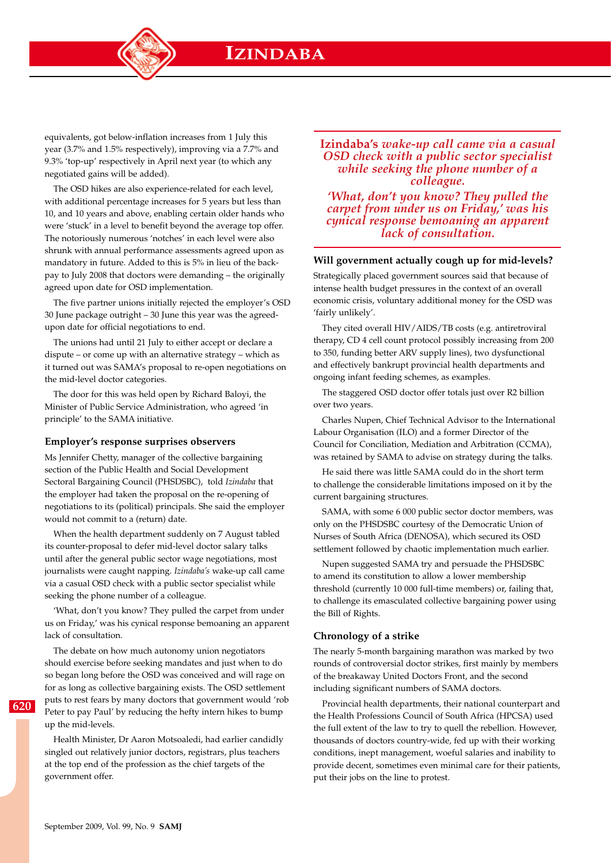

equivalents, got below-inflation increases from 1 July this year (3.7% and 1.5% respectively), improving via a 7.7% and 9.3% 'top-up' respectively in April next year (to which any negotiated gains will be added).

The OSD hikes are also experience-related for each level, with additional percentage increases for 5 years but less than 10, and 10 years and above, enabling certain older hands who were 'stuck' in a level to benefit beyond the average top offer. The notoriously numerous 'notches' in each level were also shrunk with annual performance assessments agreed upon as mandatory in future. Added to this is 5% in lieu of the backpay to July 2008 that doctors were demanding – the originally agreed upon date for OSD implementation.

The five partner unions initially rejected the employer's OSD 30 June package outright – 30 June this year was the agreedupon date for official negotiations to end.

The unions had until 21 July to either accept or declare a dispute – or come up with an alternative strategy – which as it turned out was SAMA's proposal to re-open negotiations on the mid-level doctor categories.

The door for this was held open by Richard Baloyi, the Minister of Public Service Administration, who agreed 'in principle' to the SAMA initiative.

## **Employer's response surprises observers**

Ms Jennifer Chetty, manager of the collective bargaining section of the Public Health and Social Development Sectoral Bargaining Council (PHSDSBC), told *Izindaba* that the employer had taken the proposal on the re-opening of negotiations to its (political) principals. She said the employer would not commit to a (return) date.

When the health department suddenly on 7 August tabled its counter-proposal to defer mid-level doctor salary talks until after the general public sector wage negotiations, most journalists were caught napping. *Izindaba's* wake-up call came via a casual OSD check with a public sector specialist while seeking the phone number of a colleague.

'What, don't you know? They pulled the carpet from under us on Friday,' was his cynical response bemoaning an apparent lack of consultation.

The debate on how much autonomy union negotiators should exercise before seeking mandates and just when to do so began long before the OSD was conceived and will rage on for as long as collective bargaining exists. The OSD settlement puts to rest fears by many doctors that government would 'rob Peter to pay Paul' by reducing the hefty intern hikes to bump up the mid-levels.

Health Minister, Dr Aaron Motsoaledi, had earlier candidly singled out relatively junior doctors, registrars, plus teachers at the top end of the profession as the chief targets of the government offer.

**Izindaba's** *wake-up call came via a casual OSD check with a public sector specialist while seeking the phone number of a colleague.*

*'What, don't you know? They pulled the carpet from under us on Friday,' was his cynical response bemoaning an apparent lack of consultation.*

#### **Will government actually cough up for mid-levels?**

Strategically placed government sources said that because of intense health budget pressures in the context of an overall economic crisis, voluntary additional money for the OSD was 'fairly unlikely'.

They cited overall HIV/AIDS/TB costs (e.g. antiretroviral therapy, CD 4 cell count protocol possibly increasing from 200 to 350, funding better ARV supply lines), two dysfunctional and effectively bankrupt provincial health departments and ongoing infant feeding schemes, as examples.

The staggered OSD doctor offer totals just over R2 billion over two years.

Charles Nupen, Chief Technical Advisor to the International Labour Organisation (ILO) and a former Director of the Council for Conciliation, Mediation and Arbitration (CCMA), was retained by SAMA to advise on strategy during the talks.

He said there was little SAMA could do in the short term to challenge the considerable limitations imposed on it by the current bargaining structures.

SAMA, with some 6 000 public sector doctor members, was only on the PHSDSBC courtesy of the Democratic Union of Nurses of South Africa (DENOSA), which secured its OSD settlement followed by chaotic implementation much earlier.

Nupen suggested SAMA try and persuade the PHSDSBC to amend its constitution to allow a lower membership threshold (currently 10 000 full-time members) or, failing that, to challenge its emasculated collective bargaining power using the Bill of Rights.

## **Chronology of a strike**

The nearly 5-month bargaining marathon was marked by two rounds of controversial doctor strikes, first mainly by members of the breakaway United Doctors Front, and the second including significant numbers of SAMA doctors.

Provincial health departments, their national counterpart and the Health Professions Council of South Africa (HPCSA) used the full extent of the law to try to quell the rebellion. However, thousands of doctors country-wide, fed up with their working conditions, inept management, woeful salaries and inability to provide decent, sometimes even minimal care for their patients, put their jobs on the line to protest.